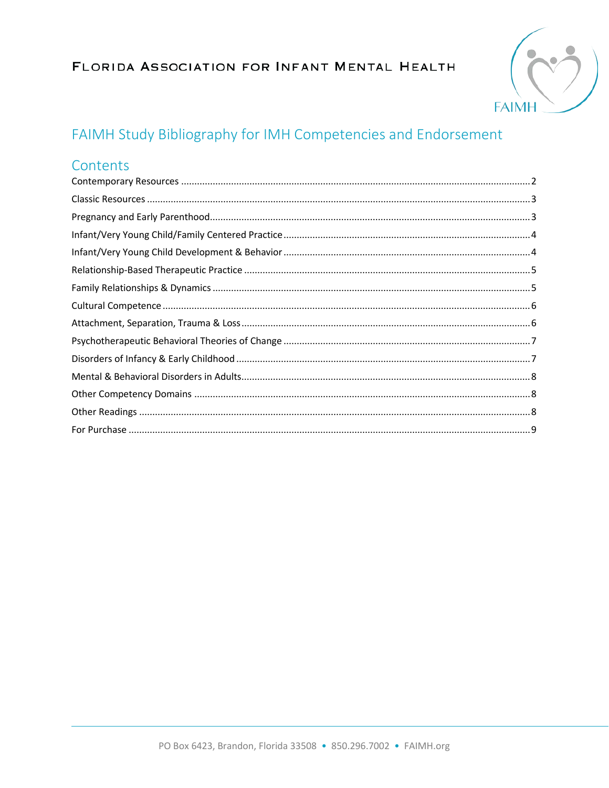### FLORIDA ASSOCIATION FOR INFANT MENTAL HEALTH



# FAIMH Study Bibliography for IMH Competencies and Endorsement

#### Contents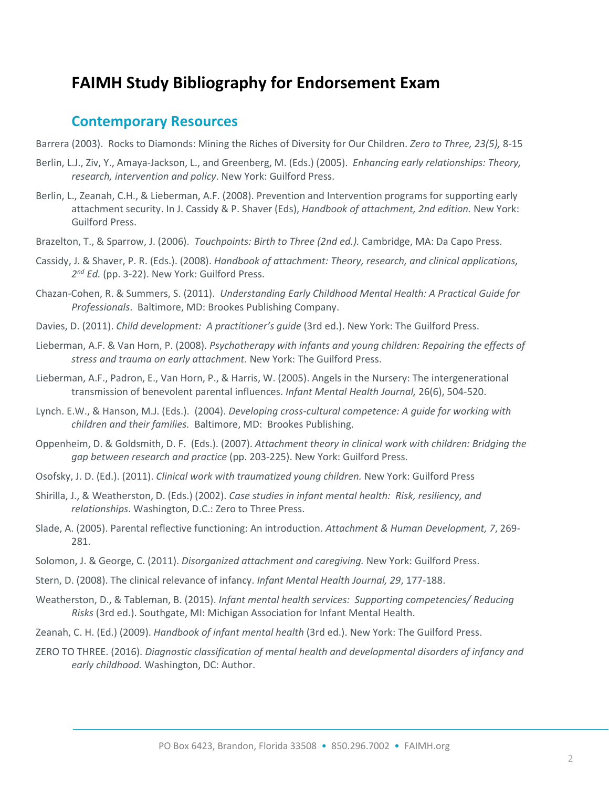## **FAIMH Study Bibliography for Endorsement Exam**

#### <span id="page-1-0"></span>**Contemporary Resources**

- Barrera (2003). Rocks to Diamonds: Mining the Riches of Diversity for Our Children. *Zero to Three, 23(5),* 8-15
- Berlin, L.J., Ziv, Y., Amaya-Jackson, L., and Greenberg, M. (Eds.) (2005). *Enhancing early relationships: Theory, research, intervention and policy*. New York: Guilford Press.
- Berlin, L., Zeanah, C.H., & Lieberman, A.F. (2008). Prevention and Intervention programs for supporting early attachment security. In J. Cassidy & P. Shaver (Eds), *Handbook of attachment, 2nd edition.* New York: Guilford Press.
- Brazelton, T., & Sparrow, J. (2006). *Touchpoints: Birth to Three (2nd ed.).* Cambridge, MA: Da Capo Press.
- Cassidy, J. & Shaver, P. R. (Eds.). (2008). *Handbook of attachment: Theory, research, and clinical applications, 2nd Ed.* (pp. 3-22). New York: Guilford Press.
- Chazan-Cohen, R. & Summers, S. (2011). *Understanding Early Childhood Mental Health: A Practical Guide for Professionals*. Baltimore, MD: Brookes Publishing Company.
- Davies, D. (2011). *Child development: A practitioner's guide* (3rd ed.). New York: The Guilford Press.
- Lieberman, A.F. & Van Horn, P. (2008). *Psychotherapy with infants and young children: Repairing the effects of stress and trauma on early attachment.* New York: The Guilford Press.
- Lieberman, A.F., Padron, E., Van Horn, P., & Harris, W. (2005). Angels in the Nursery: The intergenerational transmission of benevolent parental influences. *Infant Mental Health Journal,* 26(6), 504-520.
- Lynch. E.W., & Hanson, M.J. (Eds.). (2004). *Developing cross-cultural competence: A guide for working with children and their families.* Baltimore, MD: Brookes Publishing.
- Oppenheim, D. & Goldsmith, D. F. (Eds.). (2007). *Attachment theory in clinical work with children: Bridging the gap between research and practice* (pp. 203-225). New York: Guilford Press.
- Osofsky, J. D. (Ed.). (2011). *Clinical work with traumatized young children.* New York: Guilford Press
- Shirilla, J., & Weatherston, D. (Eds.) (2002). *Case studies in infant mental health: Risk, resiliency, and relationships*. Washington, D.C.: Zero to Three Press.
- Slade, A. (2005). Parental reflective functioning: An introduction. *Attachment & Human Development, 7*, 269- 281.
- Solomon, J. & George, C. (2011). *Disorganized attachment and caregiving.* New York: Guilford Press.
- Stern, D. (2008). The clinical relevance of infancy. *Infant Mental Health Journal, 29*, 177-188.
- Weatherston, D., & Tableman, B. (2015). *Infant mental health services: Supporting competencies/ Reducing Risks* (3rd ed.). Southgate, MI: Michigan Association for Infant Mental Health.
- Zeanah, C. H. (Ed.) (2009). *Handbook of infant mental health* (3rd ed.). New York: The Guilford Press.
- ZERO TO THREE. (2016). *Diagnostic classification of mental health and developmental disorders of infancy and early childhood.* Washington, DC: Author.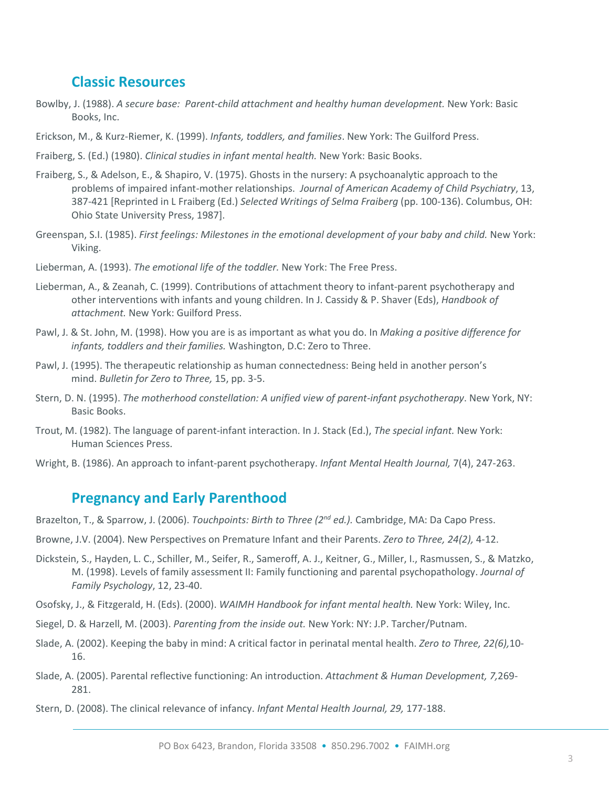#### <span id="page-2-0"></span>**Classic Resources**

- Bowlby, J. (1988). *A secure base: Parent-child attachment and healthy human development.* New York: Basic Books, Inc.
- Erickson, M., & Kurz-Riemer, K. (1999). *Infants, toddlers, and families*. New York: The Guilford Press.
- Fraiberg, S. (Ed.) (1980). *Clinical studies in infant mental health.* New York: Basic Books.
- Fraiberg, S., & Adelson, E., & Shapiro, V. (1975). Ghosts in the nursery: A psychoanalytic approach to the problems of impaired infant-mother relationships. *Journal of American Academy of Child Psychiatry*, 13, 387-421 [Reprinted in L Fraiberg (Ed.) *Selected Writings of Selma Fraiberg* (pp. 100-136). Columbus, OH: Ohio State University Press, 1987].
- Greenspan, S.I. (1985). *First feelings: Milestones in the emotional development of your baby and child.* New York: Viking.
- Lieberman, A. (1993). *The emotional life of the toddler.* New York: The Free Press.
- Lieberman, A., & Zeanah, C. (1999). Contributions of attachment theory to infant-parent psychotherapy and other interventions with infants and young children. In J. Cassidy & P. Shaver (Eds), *Handbook of attachment.* New York: Guilford Press.
- Pawl, J. & St. John, M. (1998). How you are is as important as what you do. In *Making a positive difference for infants, toddlers and their families.* Washington, D.C: Zero to Three.
- Pawl, J. (1995). The therapeutic relationship as human connectedness: Being held in another person's mind. *Bulletin for Zero to Three,* 15, pp. 3-5.
- Stern, D. N. (1995). *The motherhood constellation: A unified view of parent-infant psychotherapy*. New York, NY: Basic Books.
- Trout, M. (1982). The language of parent-infant interaction. In J. Stack (Ed.), *The special infant.* New York: Human Sciences Press.
- Wright, B. (1986). An approach to infant-parent psychotherapy. *Infant Mental Health Journal,* 7(4), 247-263.

#### <span id="page-2-1"></span>**Pregnancy and Early Parenthood**

- Brazelton, T., & Sparrow, J. (2006). *Touchpoints: Birth to Three (2nd ed.).* Cambridge, MA: Da Capo Press.
- Browne, J.V. (2004). New Perspectives on Premature Infant and their Parents. *Zero to Three, 24(2),* 4-12.
- Dickstein, S., Hayden, L. C., Schiller, M., Seifer, R., Sameroff, A. J., Keitner, G., Miller, I., Rasmussen, S., & Matzko, M. (1998). Levels of family assessment II: Family functioning and parental psychopathology. *Journal of Family Psychology*, 12, 23-40.
- Osofsky, J., & Fitzgerald, H. (Eds). (2000). *WAIMH Handbook for infant mental health.* New York: Wiley, Inc.
- Siegel, D. & Harzell, M. (2003). *Parenting from the inside out.* New York: NY: J.P. Tarcher/Putnam.
- Slade, A. (2002). Keeping the baby in mind: A critical factor in perinatal mental health. *Zero to Three, 22(6),*10- 16.
- Slade, A. (2005). Parental reflective functioning: An introduction. *Attachment & Human Development, 7,*269- 281.
- Stern, D. (2008). The clinical relevance of infancy. *Infant Mental Health Journal, 29,* 177-188.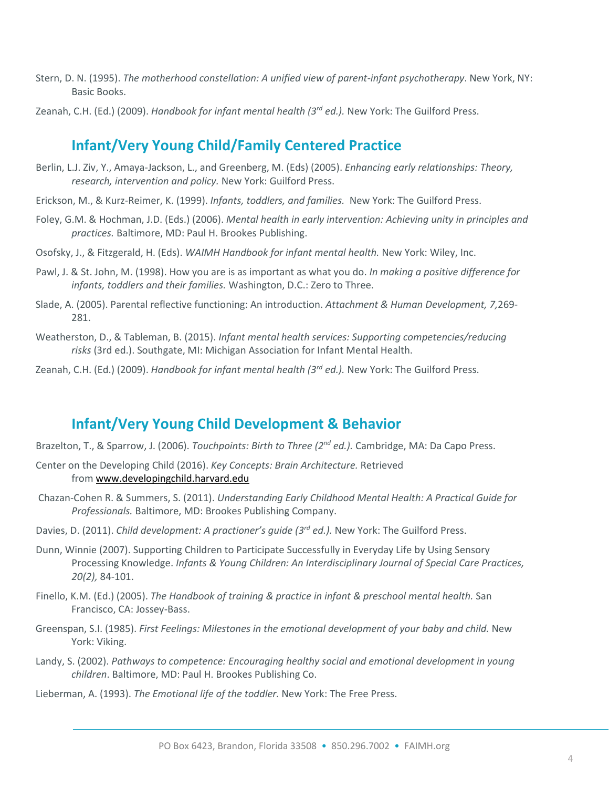- Stern, D. N. (1995). *The motherhood constellation: A unified view of parent-infant psychotherapy*. New York, NY: Basic Books.
- Zeanah, C.H. (Ed.) (2009). *Handbook for infant mental health (3rd ed.).* New York: The Guilford Press.

#### <span id="page-3-0"></span>**Infant/Very Young Child/Family Centered Practice**

- Berlin, L.J. Ziv, Y., Amaya-Jackson, L., and Greenberg, M. (Eds) (2005). *Enhancing early relationships: Theory, research, intervention and policy.* New York: Guilford Press.
- Erickson, M., & Kurz-Reimer, K. (1999). *Infants, toddlers, and families.* New York: The Guilford Press.
- Foley, G.M. & Hochman, J.D. (Eds.) (2006). *Mental health in early intervention: Achieving unity in principles and practices.* Baltimore, MD: Paul H. Brookes Publishing.
- Osofsky, J., & Fitzgerald, H. (Eds). *WAIMH Handbook for infant mental health.* New York: Wiley, Inc.
- Pawl, J. & St. John, M. (1998). How you are is as important as what you do. *In making a positive difference for infants, toddlers and their families.* Washington, D.C.: Zero to Three.
- Slade, A. (2005). Parental reflective functioning: An introduction. *Attachment & Human Development, 7,*269- 281.
- Weatherston, D., & Tableman, B. (2015). *Infant mental health services: Supporting competencies/reducing risks* (3rd ed.). Southgate, MI: Michigan Association for Infant Mental Health.
- Zeanah, C.H. (Ed.) (2009). *Handbook for infant mental health (3rd ed.).* New York: The Guilford Press.

#### <span id="page-3-1"></span>**Infant/Very Young Child Development & Behavior**

- Brazelton, T., & Sparrow, J. (2006). *Touchpoints: Birth to Three (2nd ed.).* Cambridge, MA: Da Capo Press.
- Center on the Developing Child (2016). *Key Concepts: Brain Architecture.* Retrieved from [www.developingchild.harvard.edu](http://developingchild.harvard.edu/)
- Chazan-Cohen R. & Summers, S. (2011). *Understanding Early Childhood Mental Health: A Practical Guide for Professionals.* Baltimore, MD: Brookes Publishing Company.
- Davies, D. (2011). *Child development: A practioner's guide (3rd ed.).* New York: The Guilford Press.
- Dunn, Winnie (2007). Supporting Children to Participate Successfully in Everyday Life by Using Sensory Processing Knowledge. *Infants & Young Children: An Interdisciplinary Journal of Special Care Practices, 20(2),* 84-101.
- Finello, K.M. (Ed.) (2005). *The Handbook of training & practice in infant & preschool mental health.* San Francisco, CA: Jossey-Bass.
- Greenspan, S.I. (1985). *First Feelings: Milestones in the emotional development of your baby and child.* New York: Viking.
- Landy, S. (2002). *Pathways to competence: Encouraging healthy social and emotional development in young children*. Baltimore, MD: Paul H. Brookes Publishing Co.
- Lieberman, A. (1993). *The Emotional life of the toddler.* New York: The Free Press.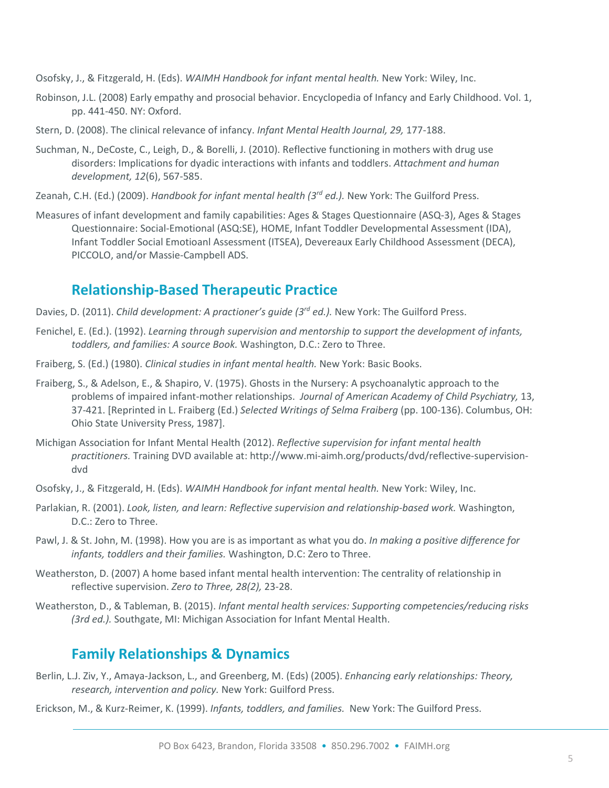Osofsky, J., & Fitzgerald, H. (Eds). *WAIMH Handbook for infant mental health.* New York: Wiley, Inc.

- Robinson, J.L. (2008) Early empathy and prosocial behavior. Encyclopedia of Infancy and Early Childhood. Vol. 1, pp. 441-450. NY: Oxford.
- Stern, D. (2008). The clinical relevance of infancy. *Infant Mental Health Journal, 29,* 177-188.
- Suchman, N., DeCoste, C., Leigh, D., & Borelli, J. (2010). Reflective functioning in mothers with drug use disorders: Implications for dyadic interactions with infants and toddlers. *Attachment and human development, 12*(6), 567-585.
- Zeanah, C.H. (Ed.) (2009). *Handbook for infant mental health (3rd ed.).* New York: The Guilford Press.
- Measures of infant development and family capabilities: Ages & Stages Questionnaire (ASQ-3), Ages & Stages Questionnaire: Social-Emotional (ASQ:SE), HOME, Infant Toddler Developmental Assessment (IDA), Infant Toddler Social Emotioanl Assessment (ITSEA), Devereaux Early Childhood Assessment (DECA), PICCOLO, and/or Massie-Campbell ADS.

#### <span id="page-4-0"></span>**Relationship-Based Therapeutic Practice**

- Davies, D. (2011). *Child development: A practioner's guide (3rd ed.).* New York: The Guilford Press.
- Fenichel, E. (Ed.). (1992). *Learning through supervision and mentorship to support the development of infants, toddlers, and families: A source Book.* Washington, D.C.: Zero to Three.
- Fraiberg, S. (Ed.) (1980). *Clinical studies in infant mental health.* New York: Basic Books.
- Fraiberg, S., & Adelson, E., & Shapiro, V. (1975). Ghosts in the Nursery: A psychoanalytic approach to the problems of impaired infant-mother relationships. *Journal of American Academy of Child Psychiatry,* 13, 37-421. [Reprinted in L. Fraiberg (Ed.) *Selected Writings of Selma Fraiberg* (pp. 100-136). Columbus, OH: Ohio State University Press, 1987].
- Michigan Association for Infant Mental Health (2012). *Reflective supervision for infant mental health practitioners.* Training DVD available at: http://www.mi-aimh.org/products/dvd/reflective-supervisiondvd
- Osofsky, J., & Fitzgerald, H. (Eds). *WAIMH Handbook for infant mental health.* New York: Wiley, Inc.
- Parlakian, R. (2001). *Look, listen, and learn: Reflective supervision and relationship-based work.* Washington, D.C.: Zero to Three.
- Pawl, J. & St. John, M. (1998). How you are is as important as what you do. *In making a positive difference for infants, toddlers and their families.* Washington, D.C: Zero to Three.
- Weatherston, D. (2007) A home based infant mental health intervention: The centrality of relationship in reflective supervision. *Zero to Three, 28(2),* 23-28.
- Weatherston, D., & Tableman, B. (2015). *Infant mental health services: Supporting competencies/reducing risks (3rd ed.).* Southgate, MI: Michigan Association for Infant Mental Health.

#### <span id="page-4-1"></span>**Family Relationships & Dynamics**

- Berlin, L.J. Ziv, Y., Amaya-Jackson, L., and Greenberg, M. (Eds) (2005). *Enhancing early relationships: Theory, research, intervention and policy.* New York: Guilford Press.
- Erickson, M., & Kurz-Reimer, K. (1999). *Infants, toddlers, and families.* New York: The Guilford Press.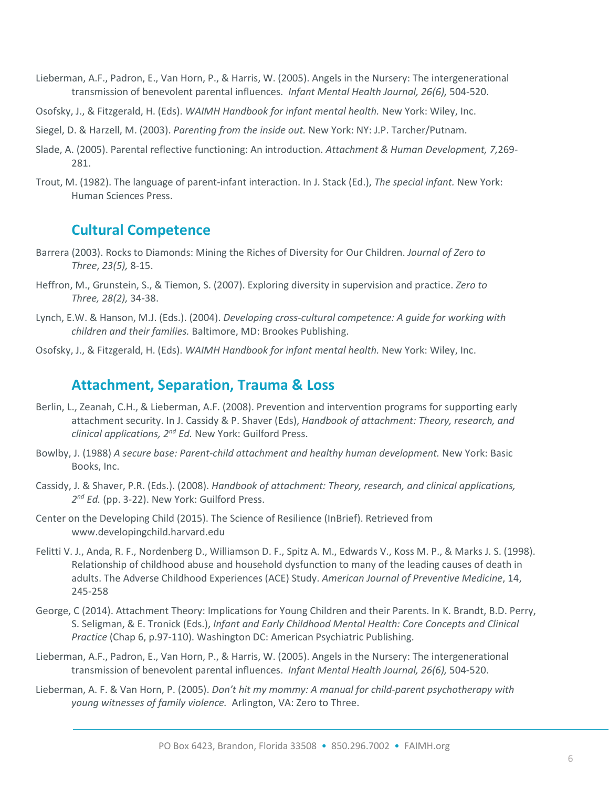- Lieberman, A.F., Padron, E., Van Horn, P., & Harris, W. (2005). Angels in the Nursery: The intergenerational transmission of benevolent parental influences. *Infant Mental Health Journal, 26(6),* 504-520.
- Osofsky, J., & Fitzgerald, H. (Eds). *WAIMH Handbook for infant mental health.* New York: Wiley, Inc.
- Siegel, D. & Harzell, M. (2003). *Parenting from the inside out.* New York: NY: J.P. Tarcher/Putnam.
- Slade, A. (2005). Parental reflective functioning: An introduction. *Attachment & Human Development, 7,*269- 281.
- Trout, M. (1982). The language of parent-infant interaction. In J. Stack (Ed.), *The special infant.* New York: Human Sciences Press.

#### <span id="page-5-0"></span>**Cultural Competence**

- Barrera (2003). Rocks to Diamonds: Mining the Riches of Diversity for Our Children. *Journal of Zero to Three*, *23(5),* 8-15.
- Heffron, M., Grunstein, S., & Tiemon, S. (2007). Exploring diversity in supervision and practice. *Zero to Three, 28(2),* 34-38.
- Lynch, E.W. & Hanson, M.J. (Eds.). (2004). *Developing cross-cultural competence: A guide for working with children and their families.* Baltimore, MD: Brookes Publishing.
- Osofsky, J., & Fitzgerald, H. (Eds). *WAIMH Handbook for infant mental health.* New York: Wiley, Inc.

#### <span id="page-5-1"></span>**Attachment, Separation, Trauma & Loss**

- Berlin, L., Zeanah, C.H., & Lieberman, A.F. (2008). Prevention and intervention programs for supporting early attachment security. In J. Cassidy & P. Shaver (Eds), *Handbook of attachment: Theory, research, and clinical applications, 2nd Ed.* New York: Guilford Press.
- Bowlby, J. (1988) *A secure base: Parent-child attachment and healthy human development.* New York: Basic Books, Inc.
- Cassidy, J. & Shaver, P.R. (Eds.). (2008). *Handbook of attachment: Theory, research, and clinical applications, 2nd Ed.* (pp. 3-22). New York: Guilford Press.
- Center on the Developing Child (2015). The Science of Resilience (InBrief). Retrieved from www.developingchild.harvard.edu
- Felitti V. J., Anda, R. F., Nordenberg D., Williamson D. F., Spitz A. M., Edwards V., Koss M. P., & Marks J. S. (1998). Relationship of childhood abuse and household dysfunction to many of the leading causes of death in adults. The Adverse Childhood Experiences (ACE) Study. *American Journal of Preventive Medicine*, 14, 245-258
- George, C (2014). Attachment Theory: Implications for Young Children and their Parents. In K. Brandt, B.D. Perry, S. Seligman, & E. Tronick (Eds.), *Infant and Early Childhood Mental Health: Core Concepts and Clinical Practice* (Chap 6, p.97-110). Washington DC: American Psychiatric Publishing.
- Lieberman, A.F., Padron, E., Van Horn, P., & Harris, W. (2005). Angels in the Nursery: The intergenerational transmission of benevolent parental influences. *Infant Mental Health Journal, 26(6),* 504-520.
- Lieberman, A. F. & Van Horn, P. (2005). *Don't hit my mommy: A manual for child-parent psychotherapy with young witnesses of family violence.* Arlington, VA: Zero to Three.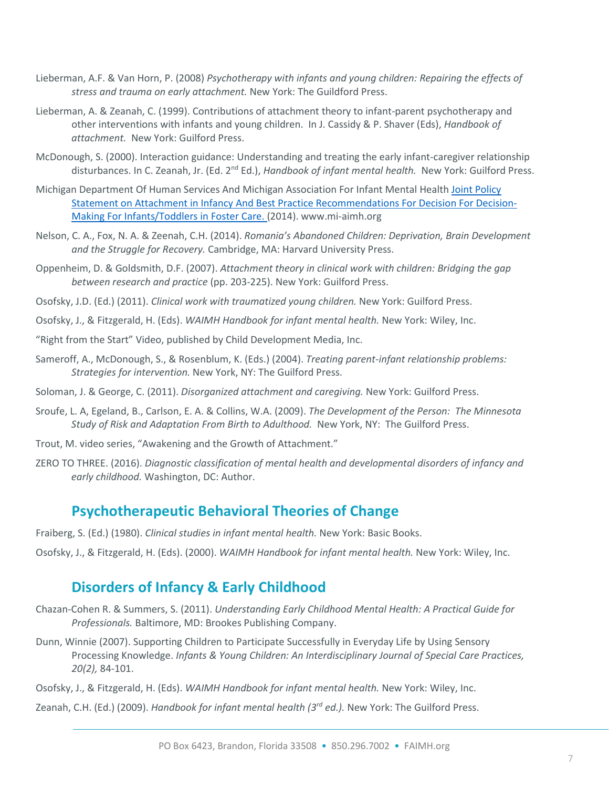- Lieberman, A.F. & Van Horn, P. (2008) *Psychotherapy with infants and young children: Repairing the effects of stress and trauma on early attachment.* New York: The Guildford Press.
- Lieberman, A. & Zeanah, C. (1999). Contributions of attachment theory to infant-parent psychotherapy and other interventions with infants and young children. In J. Cassidy & P. Shaver (Eds), *Handbook of attachment.* New York: Guilford Press.
- McDonough, S. (2000). Interaction guidance: Understanding and treating the early infant-caregiver relationship disturbances. In C. Zeanah, Jr. (Ed. 2nd Ed.), *Handbook of infant mental health.* New York: Guilford Press.
- Michigan Department Of Human Services And Michigan Association For Infant Mental Health Joint Policy Statement on Attachment in Infancy And Best Practice Recommendations For Decision For Decision-Making For Infants/Toddlers in Foster Care. (2014). www.mi-aimh.org
- Nelson, C. A., Fox, N. A. & Zeenah, C.H. (2014). *Romania's Abandoned Children: Deprivation, Brain Development and the Struggle for Recovery.* Cambridge, MA: Harvard University Press.
- Oppenheim, D. & Goldsmith, D.F. (2007). *Attachment theory in clinical work with children: Bridging the gap between research and practice* (pp. 203-225). New York: Guilford Press.
- Osofsky, J.D. (Ed.) (2011). *Clinical work with traumatized young children.* New York: Guilford Press.
- Osofsky, J., & Fitzgerald, H. (Eds). *WAIMH Handbook for infant mental health.* New York: Wiley, Inc.
- "Right from the Start" Video, published by Child Development Media, Inc.
- Sameroff, A., McDonough, S., & Rosenblum, K. (Eds.) (2004). *Treating parent-infant relationship problems: Strategies for intervention.* New York, NY: The Guilford Press.
- Soloman, J. & George, C. (2011). *Disorganized attachment and caregiving.* New York: Guilford Press.
- Sroufe, L. A, Egeland, B., Carlson, E. A. & Collins, W.A. (2009). *The Development of the Person: The Minnesota Study of Risk and Adaptation From Birth to Adulthood.* New York, NY: The Guilford Press.
- Trout, M. video series, "Awakening and the Growth of Attachment."
- ZERO TO THREE. (2016). *Diagnostic classification of mental health and developmental disorders of infancy and early childhood.* Washington, DC: Author.

#### <span id="page-6-0"></span>**Psychotherapeutic Behavioral Theories of Change**

- Fraiberg, S. (Ed.) (1980). *Clinical studies in infant mental health.* New York: Basic Books.
- Osofsky, J., & Fitzgerald, H. (Eds). (2000). *WAIMH Handbook for infant mental health.* New York: Wiley, Inc.

## <span id="page-6-1"></span>**Disorders of Infancy & Early Childhood**

- Chazan-Cohen R. & Summers, S. (2011). *Understanding Early Childhood Mental Health: A Practical Guide for Professionals.* Baltimore, MD: Brookes Publishing Company.
- Dunn, Winnie (2007). Supporting Children to Participate Successfully in Everyday Life by Using Sensory Processing Knowledge. *Infants & Young Children: An Interdisciplinary Journal of Special Care Practices, 20(2),* 84-101.
- Osofsky, J., & Fitzgerald, H. (Eds). *WAIMH Handbook for infant mental health.* New York: Wiley, Inc.
- Zeanah, C.H. (Ed.) (2009). *Handbook for infant mental health (3rd ed.).* New York: The Guilford Press.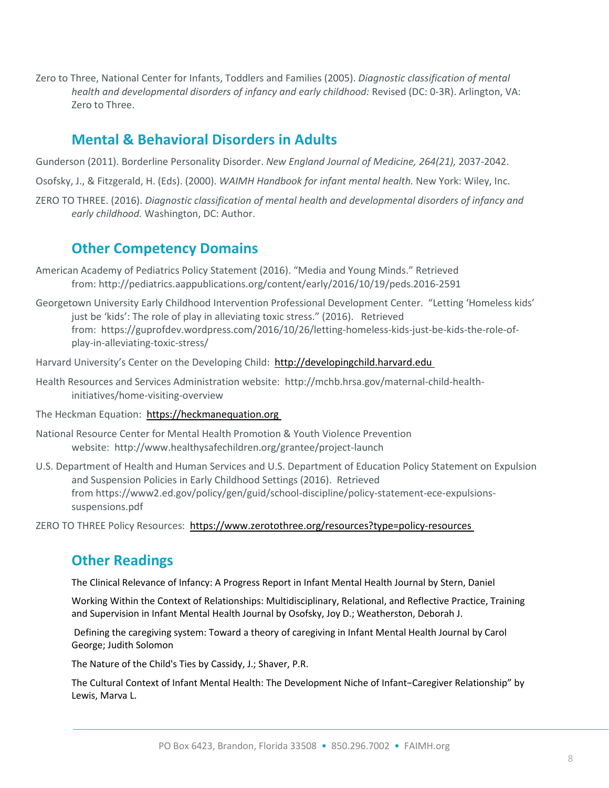Zero to Three, National Center for Infants, Toddlers and Families (2005). *Diagnostic classification of mental health and developmental disorders of infancy and early childhood:* Revised (DC: 0-3R). Arlington, VA: Zero to Three.

#### <span id="page-7-0"></span>**Mental & Behavioral Disorders in Adults**

- Gunderson (2011). Borderline Personality Disorder. *New England Journal of Medicine, 264(21),* 2037-2042.
- Osofsky, J., & Fitzgerald, H. (Eds). (2000). *WAIMH Handbook for infant mental health.* New York: Wiley, Inc.
- ZERO TO THREE. (2016). *Diagnostic classification of mental health and developmental disorders of infancy and early childhood.* Washington, DC: Author.

#### <span id="page-7-1"></span>**Other Competency Domains**

- American Academy of Pediatrics Policy Statement (2016). "Media and Young Minds." Retrieved from: http://pediatrics.aappublications.org/content/early/2016/10/19/peds.2016-2591
- Georgetown University Early Childhood Intervention Professional Development Center. "Letting 'Homeless kids' just be 'kids': The role of play in alleviating toxic stress." (2016). Retrieved from: https://guprofdev.wordpress.com/2016/10/26/letting-homeless-kids-just-be-kids-the-role-ofplay-in-alleviating-toxic-stress/

Harvard University's Center on the Developing Child: [http://developingchild.harvard.edu](http://developingchild.harvard.edu/)

- Health Resources and Services Administration website: http://mchb.hrsa.gov/maternal-child-healthinitiatives/home-visiting-overview
- The Heckman Equation: [https://heckmanequation.org](https://heckmanequation.org/)
- National Resource Center for Mental Health Promotion & Youth Violence Prevention website: http://www.healthysafechildren.org/grantee/project-launch
- U.S. Department of Health and Human Services and U.S. Department of Education Policy Statement on Expulsion and Suspension Policies in Early Childhood Settings (2016). Retrieved from https://www2.ed.gov/policy/gen/guid/school-discipline/policy-statement-ece-expulsionssuspensions.pdf

ZERO TO THREE Policy Resources: <https://www.zerotothree.org/resources?type=policy-resources>

#### <span id="page-7-2"></span>**Other Readings**

The Clinical Relevance of Infancy: A Progress Report in Infant Mental Health Journal by Stern, Daniel

Working Within the Context of Relationships: Multidisciplinary, Relational, and Reflective Practice, Training and Supervision in Infant Mental Health Journal by Osofsky, Joy D.; Weatherston, Deborah J.

Defining the caregiving system: Toward a theory of caregiving in Infant Mental Health Journal by Carol George; Judith Solomon

The Nature of the Child's Ties by Cassidy, J.; Shaver, P.R.

The Cultural Context of Infant Mental Health: The Development Niche of Infant−Caregiver Relationship" by Lewis, Marva L.